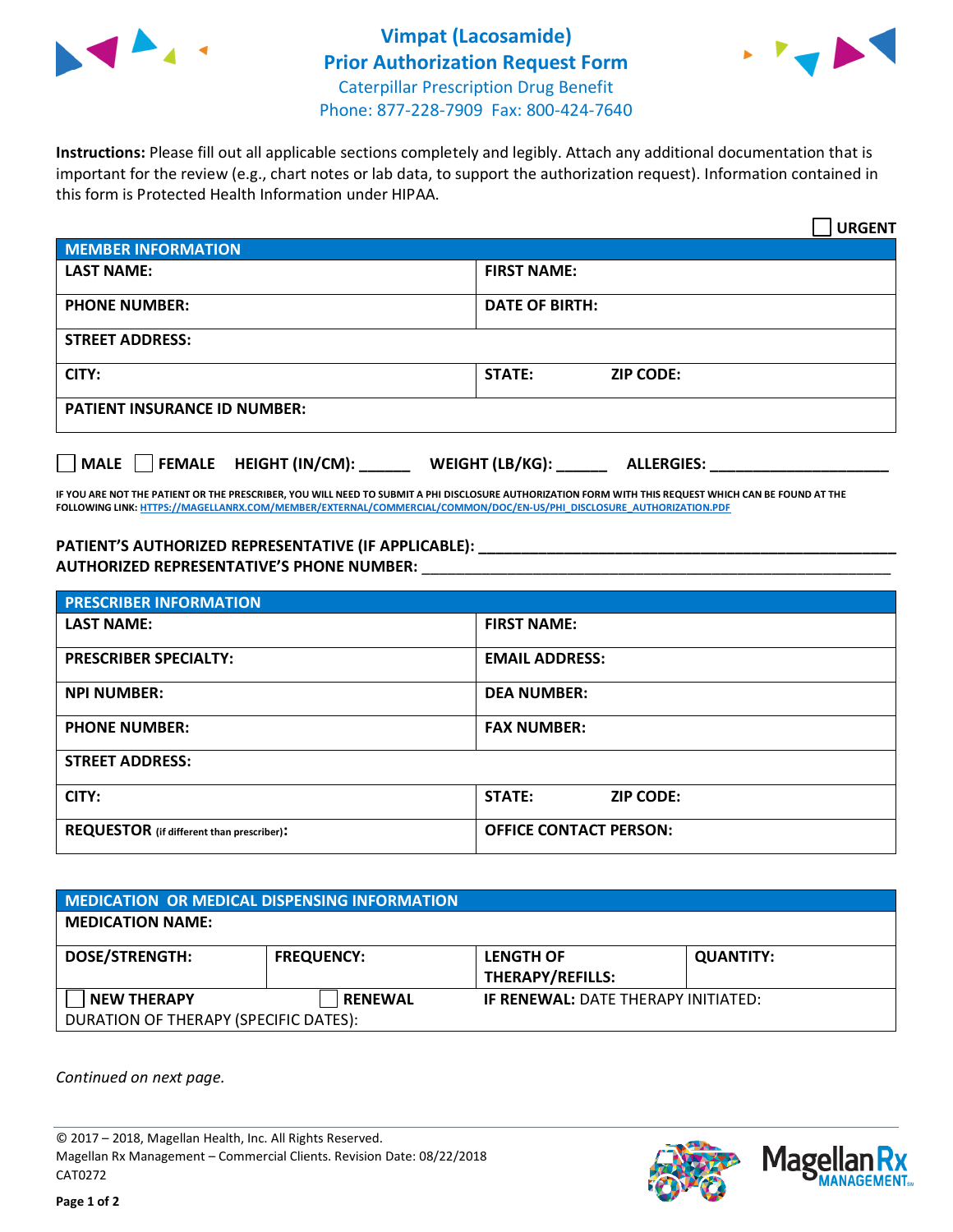



**Instructions:** Please fill out all applicable sections completely and legibly. Attach any additional documentation that is important for the review (e.g., chart notes or lab data, to support the authorization request). Information contained in this form is Protected Health Information under HIPAA.

|                                       | <b>URGENT</b>                        |  |  |  |
|---------------------------------------|--------------------------------------|--|--|--|
| <b>MEMBER INFORMATION</b>             |                                      |  |  |  |
| <b>LAST NAME:</b>                     | <b>FIRST NAME:</b>                   |  |  |  |
| <b>PHONE NUMBER:</b>                  | <b>DATE OF BIRTH:</b>                |  |  |  |
| <b>STREET ADDRESS:</b>                |                                      |  |  |  |
| CITY:                                 | STATE:<br><b>ZIP CODE:</b>           |  |  |  |
| <b>PATIENT INSURANCE ID NUMBER:</b>   |                                      |  |  |  |
| FEMALE HEIGHT (IN/CM):<br><b>MALE</b> | WEIGHT (LB/KG):<br><b>ALLERGIES:</b> |  |  |  |

**IF YOU ARE NOT THE PATIENT OR THE PRESCRIBER, YOU WILL NEED TO SUBMIT A PHI DISCLOSURE AUTHORIZATION FORM WITH THIS REQUEST WHICH CAN BE FOUND AT THE FOLLOWING LINK[: HTTPS://MAGELLANRX.COM/MEMBER/EXTERNAL/COMMERCIAL/COMMON/DOC/EN-US/PHI\\_DISCLOSURE\\_AUTHORIZATION.PDF](https://magellanrx.com/member/external/commercial/common/doc/en-us/PHI_Disclosure_Authorization.pdf)**

**PATIENT'S AUTHORIZED REPRESENTATIVE (IF APPLICABLE): \_\_\_\_\_\_\_\_\_\_\_\_\_\_\_\_\_\_\_\_\_\_\_\_\_\_\_\_\_\_\_\_\_\_\_\_\_\_\_\_\_\_\_\_\_\_\_\_\_ AUTHORIZED REPRESENTATIVE'S PHONE NUMBER:** \_\_\_\_\_\_\_\_\_\_\_\_\_\_\_\_\_\_\_\_\_\_\_\_\_\_\_\_\_\_\_\_\_\_\_\_\_\_\_\_\_\_\_\_\_\_\_\_\_\_\_\_\_\_\_

| <b>PRESCRIBER INFORMATION</b>             |                               |  |  |  |
|-------------------------------------------|-------------------------------|--|--|--|
| <b>LAST NAME:</b>                         | <b>FIRST NAME:</b>            |  |  |  |
| <b>PRESCRIBER SPECIALTY:</b>              | <b>EMAIL ADDRESS:</b>         |  |  |  |
| <b>NPI NUMBER:</b>                        | <b>DEA NUMBER:</b>            |  |  |  |
| <b>PHONE NUMBER:</b>                      | <b>FAX NUMBER:</b>            |  |  |  |
| <b>STREET ADDRESS:</b>                    |                               |  |  |  |
| CITY:                                     | STATE:<br><b>ZIP CODE:</b>    |  |  |  |
| REQUESTOR (if different than prescriber): | <b>OFFICE CONTACT PERSON:</b> |  |  |  |

| <b>MEDICATION OR MEDICAL DISPENSING INFORMATION</b> |                   |                                            |                  |  |  |
|-----------------------------------------------------|-------------------|--------------------------------------------|------------------|--|--|
| <b>MEDICATION NAME:</b>                             |                   |                                            |                  |  |  |
| <b>DOSE/STRENGTH:</b>                               | <b>FREQUENCY:</b> | <b>LENGTH OF</b>                           | <b>QUANTITY:</b> |  |  |
|                                                     |                   | <b>THERAPY/REFILLS:</b>                    |                  |  |  |
| <b>NEW THERAPY</b>                                  | <b>RENEWAL</b>    | <b>IF RENEWAL: DATE THERAPY INITIATED:</b> |                  |  |  |
| DURATION OF THERAPY (SPECIFIC DATES):               |                   |                                            |                  |  |  |

*Continued on next page.*

© 2017 – 2018, Magellan Health, Inc. All Rights Reserved. Magellan Rx Management – Commercial Clients. Revision Date: 08/22/2018 CAT0272